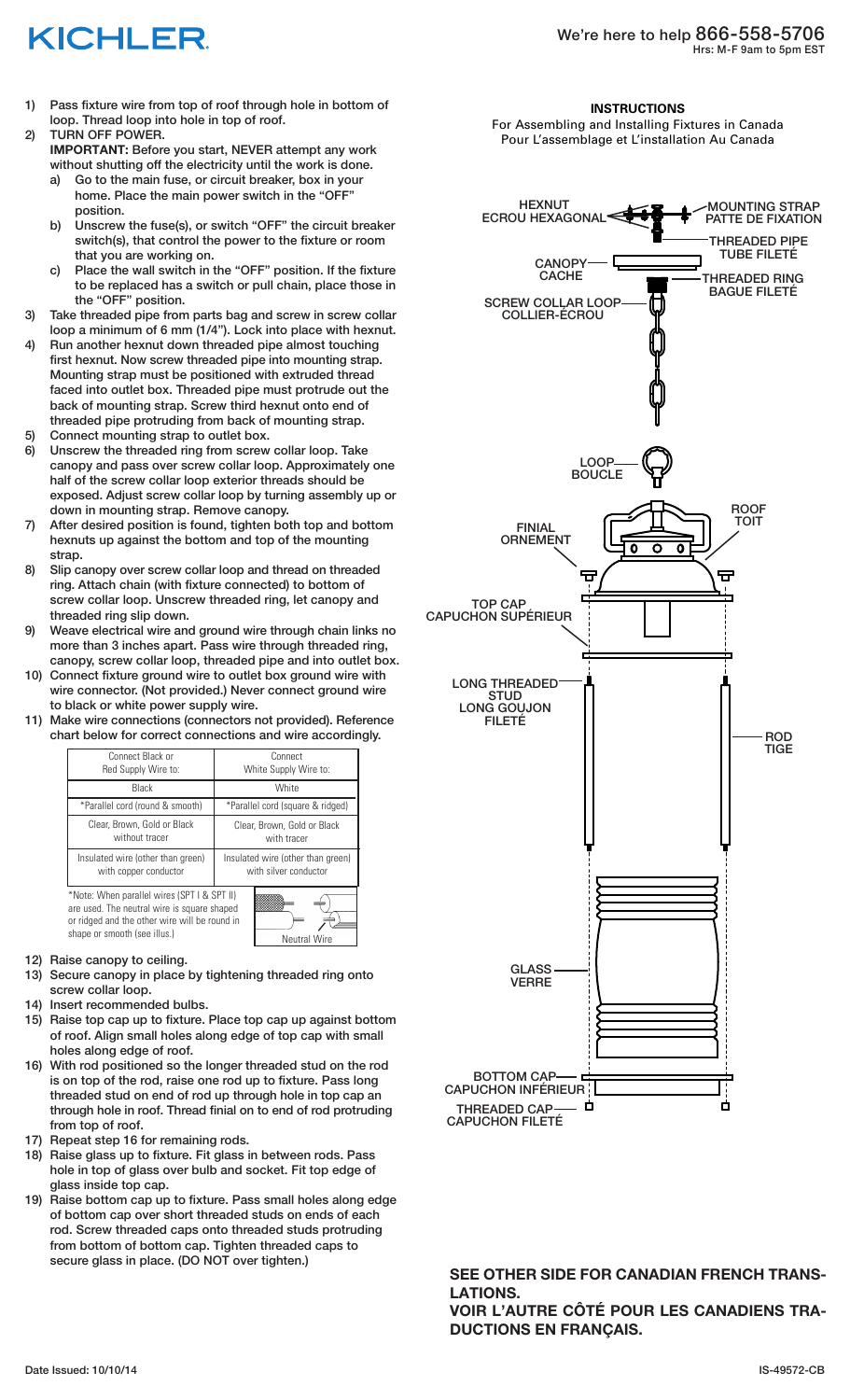# KICHLER

- 1) Pass fixture wire from top of roof through hole in bottom of loop. Thread loop into hole in top of roof.
- 2) TURN OFF POWER. **IMPORTANT:** Before you start, NEVER attempt any work without shutting off the electricity until the work is done.
	- a) Go to the main fuse, or circuit breaker, box in your home. Place the main power switch in the "OFF" position.
	- b) Unscrew the fuse(s), or switch "OFF" the circuit breaker switch(s), that control the power to the fixture or room that you are working on.
	- c) Place the wall switch in the "OFF" position. If the fixture to be replaced has a switch or pull chain, place those in the "OFF" position.
- 3) Take threaded pipe from parts bag and screw in screw collar loop a minimum of 6 mm (1/4"). Lock into place with hexnut.
- 4) Run another hexnut down threaded pipe almost touching first hexnut. Now screw threaded pipe into mounting strap. Mounting strap must be positioned with extruded thread faced into outlet box. Threaded pipe must protrude out the back of mounting strap. Screw third hexnut onto end of threaded pipe protruding from back of mounting strap.
- 5) Connect mounting strap to outlet box.
- 6) Unscrew the threaded ring from screw collar loop. Take canopy and pass over screw collar loop. Approximately one half of the screw collar loop exterior threads should be exposed. Adjust screw collar loop by turning assembly up or down in mounting strap. Remove canopy.
- 7) After desired position is found, tighten both top and bottom hexnuts up against the bottom and top of the mounting strap.
- 8) Slip canopy over screw collar loop and thread on threaded ring. Attach chain (with fixture connected) to bottom of screw collar loop. Unscrew threaded ring, let canopy and threaded ring slip down.
- 9) Weave electrical wire and ground wire through chain links no more than 3 inches apart. Pass wire through threaded ring, canopy, screw collar loop, threaded pipe and into outlet box.
- 10) Connect fixture ground wire to outlet box ground wire with wire connector. (Not provided.) Never connect ground wire to black or white power supply wire.
- 11) Make wire connections (connectors not provided). Reference chart below for correct connections and wire accordingly.

| Connect Black or<br>Red Supply Wire to:                    | Connect<br>White Supply Wire to:                           |
|------------------------------------------------------------|------------------------------------------------------------|
| Black                                                      | White                                                      |
| *Parallel cord (round & smooth)                            | *Parallel cord (square & ridged)                           |
| Clear, Brown, Gold or Black<br>without tracer              | Clear, Brown, Gold or Black<br>with tracer                 |
| Insulated wire (other than green)<br>with copper conductor | Insulated wire (other than green)<br>with silver conductor |
| *Note: When parallel wires (SPT I & SPT II)                |                                                            |

are used. The neutral wire is square shaped or ridged and the other wire will be round in shape or smooth (see illus.)



### 12) Raise canopy to ceiling.

- 13) Secure canopy in place by tightening threaded ring onto screw collar loop.
- 14) Insert recommended bulbs.
- 15) Raise top cap up to fixture. Place top cap up against bottom of roof. Align small holes along edge of top cap with small holes along edge of roof.
- 16) With rod positioned so the longer threaded stud on the rod is on top of the rod, raise one rod up to fixture. Pass long threaded stud on end of rod up through hole in top cap an through hole in roof. Thread finial on to end of rod protruding from top of roof.
- 17) Repeat step 16 for remaining rods.
- 18) Raise glass up to fixture. Fit glass in between rods. Pass hole in top of glass over bulb and socket. Fit top edge of glass inside top cap.
- 19) Raise bottom cap up to fixture. Pass small holes along edge of bottom cap over short threaded studs on ends of each rod. Screw threaded caps onto threaded studs protruding from bottom of bottom cap. Tighten threaded caps to secure glass in place. (DO NOT over tighten.)

#### **INSTRUCTIONS**

For Assembling and Installing Fixtures in Canada Pour L'assemblage et L'installation Au Canada



**SEE OTHER SIDE FOR CANADIAN FRENCH TRANS-LATIONS.**

**VOIR L'AUTRE CÔTÉ POUR LES CANADIENS TRA-DUCTIONS EN FRANÇAIS.**